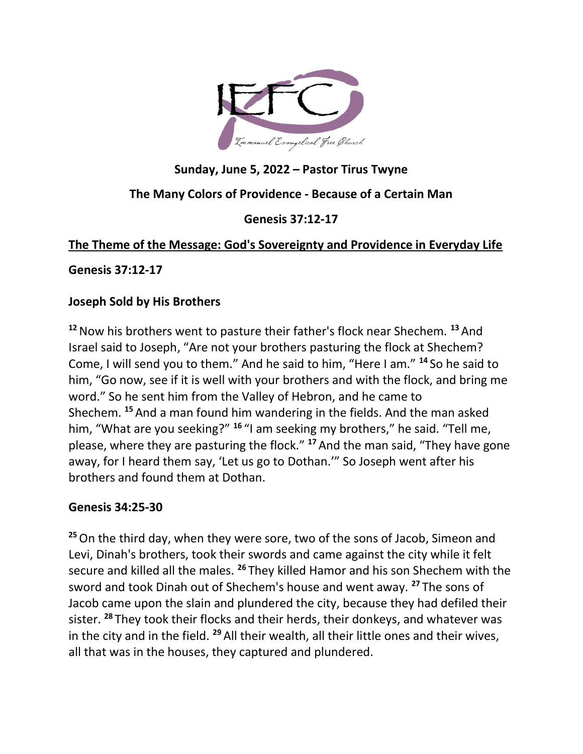

# Sunday, June 5, 2022 – Pastor Tirus Twyne

## The Many Colors of Providence - Because of a Certain Man

### Genesis 37:12-17

## The Theme of the Message: God's Sovereignty and Providence in Everyday Life

Genesis 37:12-17

### Joseph Sold by His Brothers

 $12$  Now his brothers went to pasture their father's flock near Shechem.  $13$  And Israel said to Joseph, "Are not your brothers pasturing the flock at Shechem? Come, I will send you to them." And he said to him, "Here I am." <sup>14</sup> So he said to him, "Go now, see if it is well with your brothers and with the flock, and bring me word." So he sent him from the Valley of Hebron, and he came to Shechem. <sup>15</sup> And a man found him wandering in the fields. And the man asked him, "What are you seeking?" <sup>16</sup> "I am seeking my brothers," he said. "Tell me, please, where they are pasturing the flock."  $17$  And the man said, "They have gone away, for I heard them say, 'Let us go to Dothan.'" So Joseph went after his brothers and found them at Dothan.

### Genesis 34:25-30

<sup>25</sup> On the third day, when they were sore, two of the sons of Jacob, Simeon and Levi, Dinah's brothers, took their swords and came against the city while it felt secure and killed all the males. <sup>26</sup> They killed Hamor and his son Shechem with the sword and took Dinah out of Shechem's house and went away. <sup>27</sup> The sons of Jacob came upon the slain and plundered the city, because they had defiled their sister. <sup>28</sup> They took their flocks and their herds, their donkeys, and whatever was in the city and in the field. <sup>29</sup> All their wealth, all their little ones and their wives, all that was in the houses, they captured and plundered.